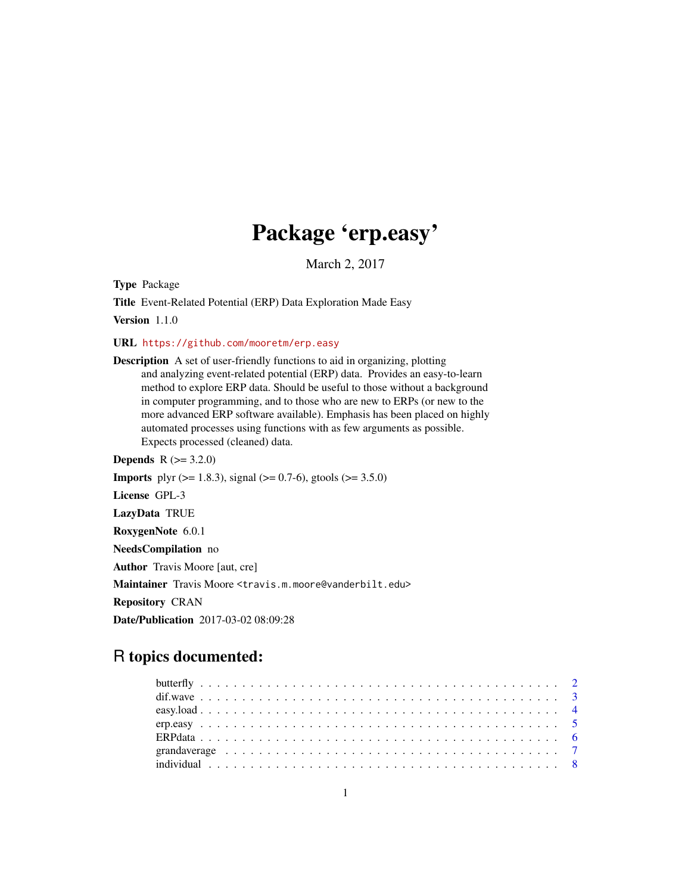# Package 'erp.easy'

March 2, 2017

Type Package

Title Event-Related Potential (ERP) Data Exploration Made Easy

Version 1.1.0

URL <https://github.com/mooretm/erp.easy>

Description A set of user-friendly functions to aid in organizing, plotting and analyzing event-related potential (ERP) data. Provides an easy-to-learn method to explore ERP data. Should be useful to those without a background in computer programming, and to those who are new to ERPs (or new to the more advanced ERP software available). Emphasis has been placed on highly automated processes using functions with as few arguments as possible. Expects processed (cleaned) data.

**Depends**  $R (= 3.2.0)$ **Imports** plyr ( $> = 1.8.3$ ), signal ( $> = 0.7-6$ ), gtools ( $> = 3.5.0$ ) License GPL-3 LazyData TRUE RoxygenNote 6.0.1 NeedsCompilation no Author Travis Moore [aut, cre] Maintainer Travis Moore <travis.m.moore@vanderbilt.edu> Repository CRAN Date/Publication 2017-03-02 08:09:28

# R topics documented: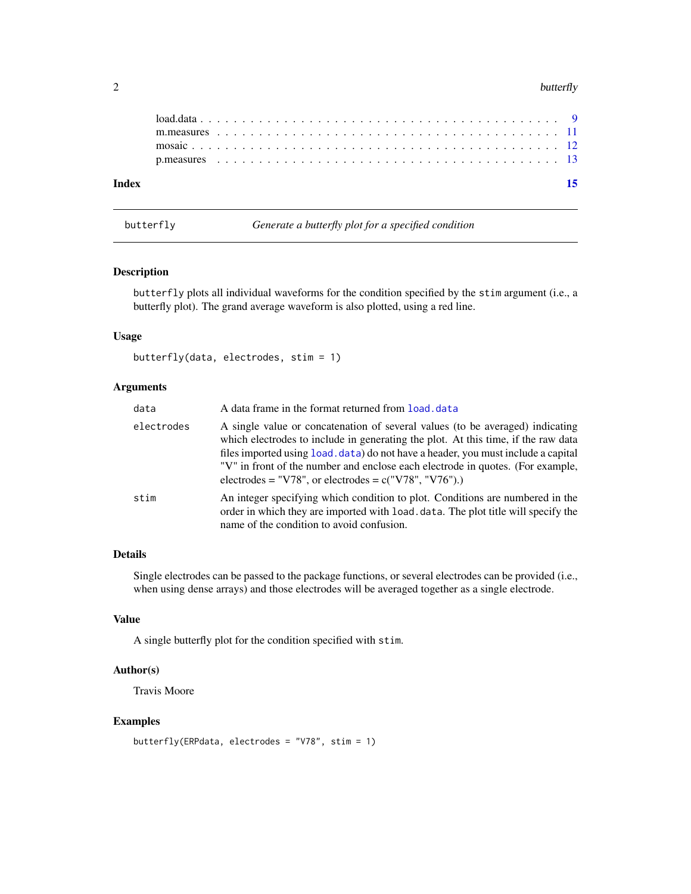#### <span id="page-1-0"></span> $2$  butterfly

butterfly *Generate a butterfly plot for a specified condition*

#### Description

butterfly plots all individual waveforms for the condition specified by the stim argument (i.e., a butterfly plot). The grand average waveform is also plotted, using a red line.

#### Usage

butterfly(data, electrodes, stim = 1)

#### Arguments

| data       | A data frame in the format returned from load, data                                                                                                                                                                                                                                                                                                                                                 |
|------------|-----------------------------------------------------------------------------------------------------------------------------------------------------------------------------------------------------------------------------------------------------------------------------------------------------------------------------------------------------------------------------------------------------|
| electrodes | A single value or concatenation of several values (to be averaged) indicating<br>which electrodes to include in generating the plot. At this time, if the raw data<br>files imported using load. data) do not have a header, you must include a capital<br>"V" in front of the number and enclose each electrode in quotes. (For example,<br>electrodes = "V78", or electrodes = $c("V78", "V76").$ |
| stim       | An integer specifying which condition to plot. Conditions are numbered in the<br>order in which they are imported with load, data. The plot title will specify the<br>name of the condition to avoid confusion.                                                                                                                                                                                     |

# Details

Single electrodes can be passed to the package functions, or several electrodes can be provided (i.e., when using dense arrays) and those electrodes will be averaged together as a single electrode.

#### Value

A single butterfly plot for the condition specified with stim.

# Author(s)

Travis Moore

# Examples

```
butterfly(ERPdata, electrodes = "V78", stim = 1)
```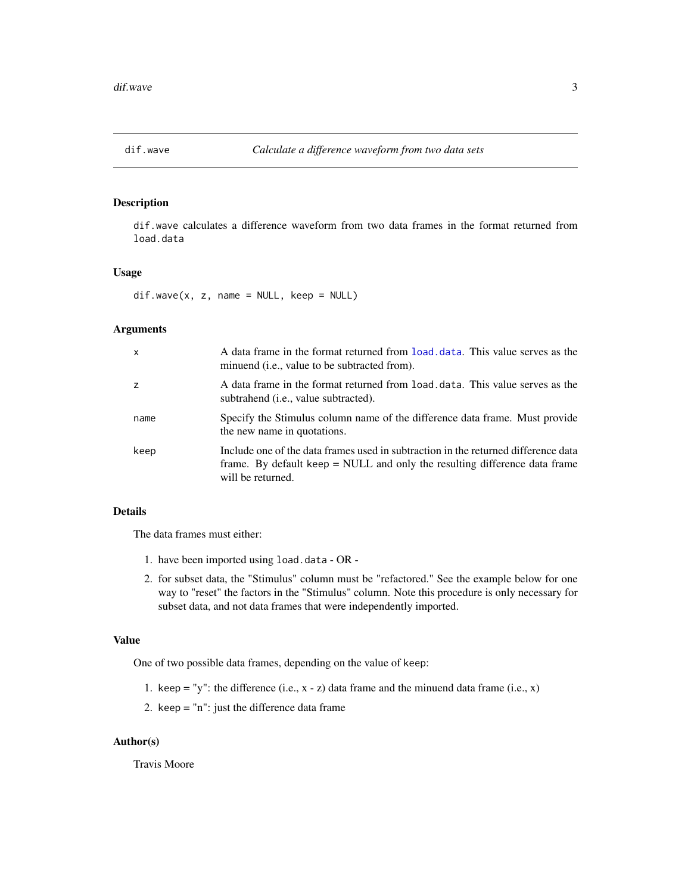<span id="page-2-0"></span>

### Description

dif.wave calculates a difference waveform from two data frames in the format returned from load.data

# Usage

 $dif.wave(x, z, name = NULL, keep = NULL)$ 

# Arguments

| X    | A data frame in the format returned from load, data. This value serves as the<br>minuend (i.e., value to be subtracted from).                                                         |
|------|---------------------------------------------------------------------------------------------------------------------------------------------------------------------------------------|
| z    | A data frame in the format returned from load data. This value serves as the<br>subtrahend <i>(i.e., value subtracted)</i> .                                                          |
| name | Specify the Stimulus column name of the difference data frame. Must provide<br>the new name in quotations.                                                                            |
| keep | Include one of the data frames used in subtraction in the returned difference data<br>frame. By default keep = NULL and only the resulting difference data frame<br>will be returned. |

# Details

The data frames must either:

- 1. have been imported using load.data OR -
- 2. for subset data, the "Stimulus" column must be "refactored." See the example below for one way to "reset" the factors in the "Stimulus" column. Note this procedure is only necessary for subset data, and not data frames that were independently imported.

# Value

One of two possible data frames, depending on the value of keep:

- 1. keep = "y": the difference (i.e.,  $x z$ ) data frame and the minuend data frame (i.e.,  $x$ )
- 2. keep = "n": just the difference data frame

#### Author(s)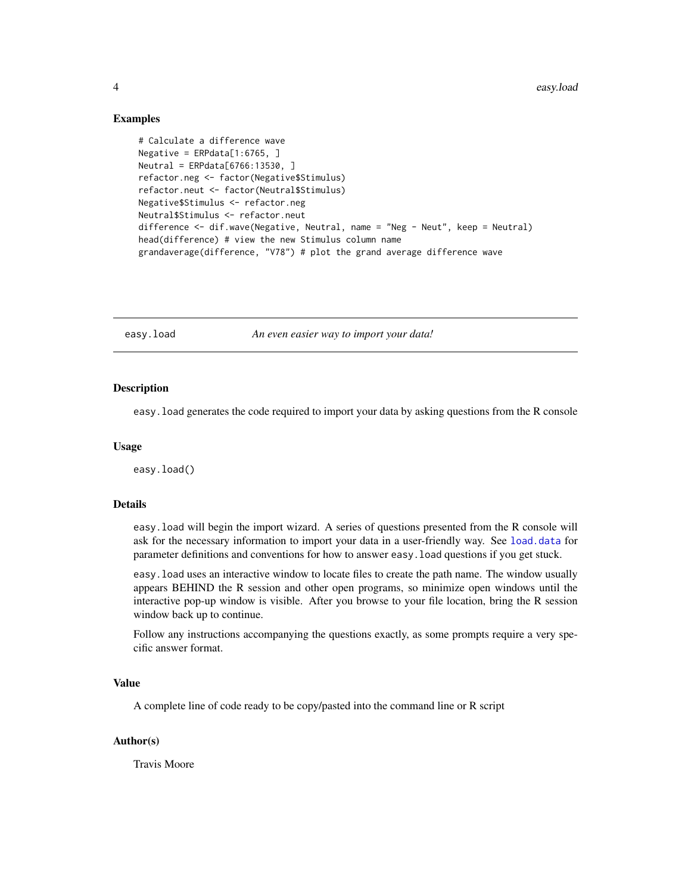#### Examples

```
# Calculate a difference wave
Negative = ERPdata[1:6765, ]
Neutral = ERPdata[6766:13530, ]
refactor.neg <- factor(Negative$Stimulus)
refactor.neut <- factor(Neutral$Stimulus)
Negative$Stimulus <- refactor.neg
Neutral$Stimulus <- refactor.neut
difference <- dif.wave(Negative, Neutral, name = "Neg - Neut", keep = Neutral)
head(difference) # view the new Stimulus column name
grandaverage(difference, "V78") # plot the grand average difference wave
```
<span id="page-3-1"></span>easy.load *An even easier way to import your data!*

#### **Description**

easy.load generates the code required to import your data by asking questions from the R console

#### Usage

easy.load()

### Details

easy.load will begin the import wizard. A series of questions presented from the R console will ask for the necessary information to import your data in a user-friendly way. See [load.data](#page-8-1) for parameter definitions and conventions for how to answer easy.load questions if you get stuck.

easy.load uses an interactive window to locate files to create the path name. The window usually appears BEHIND the R session and other open programs, so minimize open windows until the interactive pop-up window is visible. After you browse to your file location, bring the R session window back up to continue.

Follow any instructions accompanying the questions exactly, as some prompts require a very specific answer format.

#### Value

A complete line of code ready to be copy/pasted into the command line or R script

#### Author(s)

<span id="page-3-0"></span>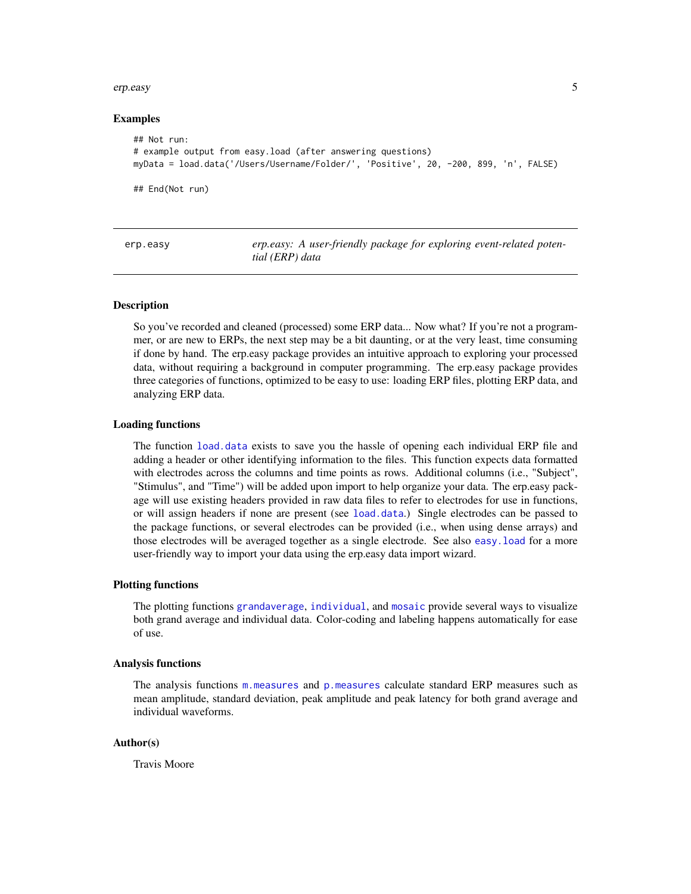#### <span id="page-4-0"></span>erp.easy 5

#### Examples

```
## Not run:
# example output from easy.load (after answering questions)
myData = load.data('/Users/Username/Folder/', 'Positive', 20, -200, 899, 'n', FALSE)
## End(Not run)
```

| erp.easy | erp.easy: A user-friendly package for exploring event-related poten- |
|----------|----------------------------------------------------------------------|
|          | tial (ERP) data                                                      |

#### **Description**

So you've recorded and cleaned (processed) some ERP data... Now what? If you're not a programmer, or are new to ERPs, the next step may be a bit daunting, or at the very least, time consuming if done by hand. The erp.easy package provides an intuitive approach to exploring your processed data, without requiring a background in computer programming. The erp.easy package provides three categories of functions, optimized to be easy to use: loading ERP files, plotting ERP data, and analyzing ERP data.

#### Loading functions

The function [load.data](#page-8-1) exists to save you the hassle of opening each individual ERP file and adding a header or other identifying information to the files. This function expects data formatted with electrodes across the columns and time points as rows. Additional columns (i.e., "Subject", "Stimulus", and "Time") will be added upon import to help organize your data. The erp.easy package will use existing headers provided in raw data files to refer to electrodes for use in functions, or will assign headers if none are present (see [load.data](#page-8-1).) Single electrodes can be passed to the package functions, or several electrodes can be provided (i.e., when using dense arrays) and those electrodes will be averaged together as a single electrode. See also [easy.load](#page-3-1) for a more user-friendly way to import your data using the erp.easy data import wizard.

#### Plotting functions

The plotting functions [grandaverage](#page-6-1), [individual](#page-7-1), and [mosaic](#page-11-1) provide several ways to visualize both grand average and individual data. Color-coding and labeling happens automatically for ease of use.

#### Analysis functions

The analysis functions [m.measures](#page-10-1) and [p.measures](#page-12-1) calculate standard ERP measures such as mean amplitude, standard deviation, peak amplitude and peak latency for both grand average and individual waveforms.

### Author(s)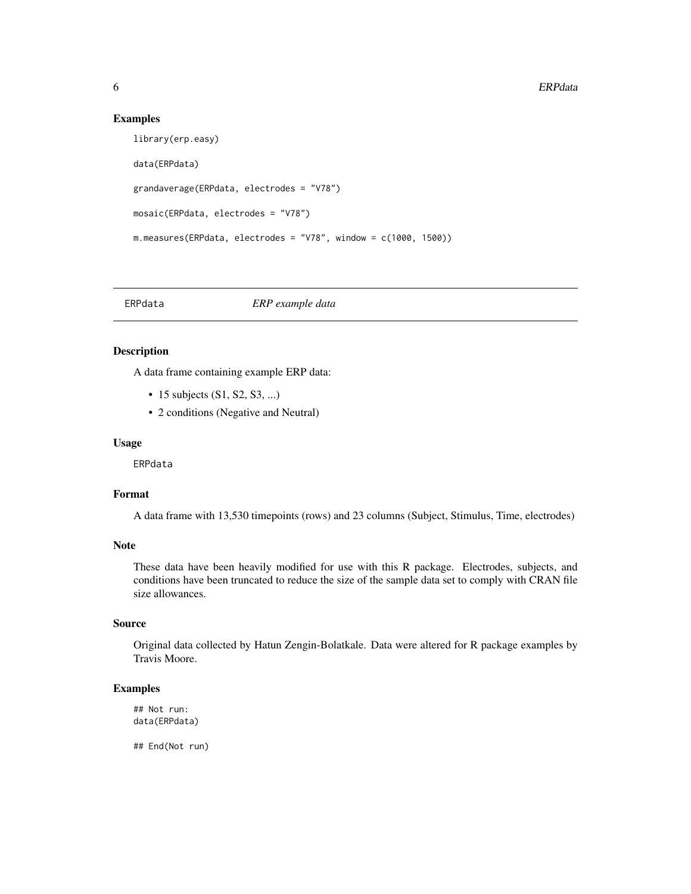#### Examples

```
library(erp.easy)
data(ERPdata)
grandaverage(ERPdata, electrodes = "V78")
mosaic(ERPdata, electrodes = "V78")
m.measures(ERPdata, electrodes = "V78", window = c(1000, 1500))
```
ERPdata *ERP example data*

#### Description

A data frame containing example ERP data:

- 15 subjects (S1, S2, S3, ...)
- 2 conditions (Negative and Neutral)

#### Usage

ERPdata

#### Format

A data frame with 13,530 timepoints (rows) and 23 columns (Subject, Stimulus, Time, electrodes)

# Note

These data have been heavily modified for use with this R package. Electrodes, subjects, and conditions have been truncated to reduce the size of the sample data set to comply with CRAN file size allowances.

# Source

Original data collected by Hatun Zengin-Bolatkale. Data were altered for R package examples by Travis Moore.

# Examples

```
## Not run:
data(ERPdata)
```
## End(Not run)

<span id="page-5-0"></span>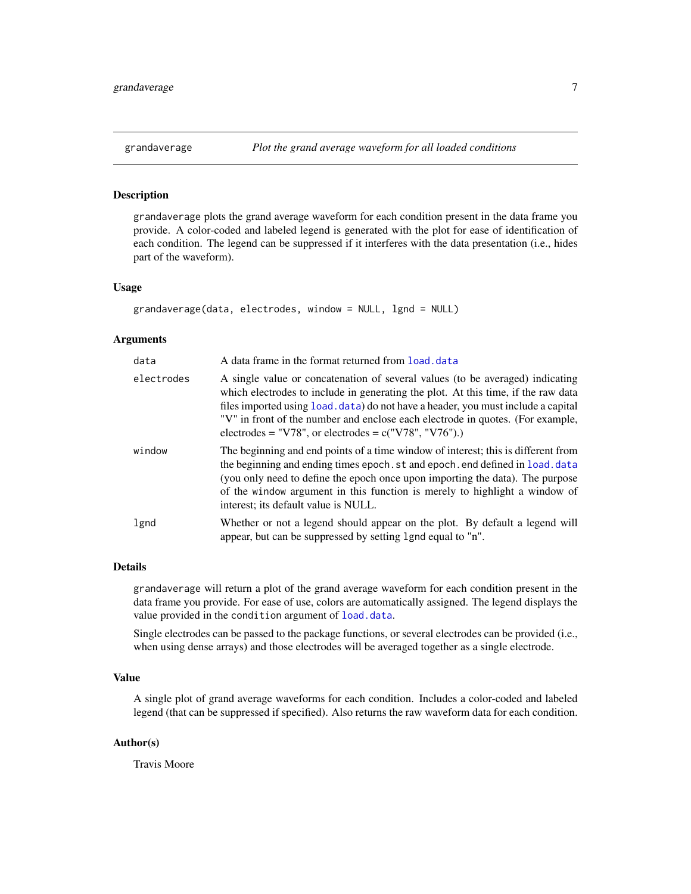<span id="page-6-1"></span><span id="page-6-0"></span>

#### **Description**

grandaverage plots the grand average waveform for each condition present in the data frame you provide. A color-coded and labeled legend is generated with the plot for ease of identification of each condition. The legend can be suppressed if it interferes with the data presentation (i.e., hides part of the waveform).

#### Usage

```
grandaverage(data, electrodes, window = NULL, lgnd = NULL)
```
#### Arguments

| data       | A data frame in the format returned from load, data                                                                                                                                                                                                                                                                                                                                                 |
|------------|-----------------------------------------------------------------------------------------------------------------------------------------------------------------------------------------------------------------------------------------------------------------------------------------------------------------------------------------------------------------------------------------------------|
| electrodes | A single value or concatenation of several values (to be averaged) indicating<br>which electrodes to include in generating the plot. At this time, if the raw data<br>files imported using load. data) do not have a header, you must include a capital<br>"V" in front of the number and enclose each electrode in quotes. (For example,<br>electrodes = "V78", or electrodes = $c("V78", "V76").$ |
| window     | The beginning and end points of a time window of interest; this is different from<br>the beginning and ending times epoch. st and epoch. end defined in load. data<br>(you only need to define the epoch once upon importing the data). The purpose<br>of the window argument in this function is merely to highlight a window of<br>interest; its default value is NULL.                           |
| lgnd       | Whether or not a legend should appear on the plot. By default a legend will<br>appear, but can be suppressed by setting 1 gnd equal to "n".                                                                                                                                                                                                                                                         |

# Details

grandaverage will return a plot of the grand average waveform for each condition present in the data frame you provide. For ease of use, colors are automatically assigned. The legend displays the value provided in the condition argument of [load.data](#page-8-1).

Single electrodes can be passed to the package functions, or several electrodes can be provided (i.e., when using dense arrays) and those electrodes will be averaged together as a single electrode.

# Value

A single plot of grand average waveforms for each condition. Includes a color-coded and labeled legend (that can be suppressed if specified). Also returns the raw waveform data for each condition.

#### Author(s)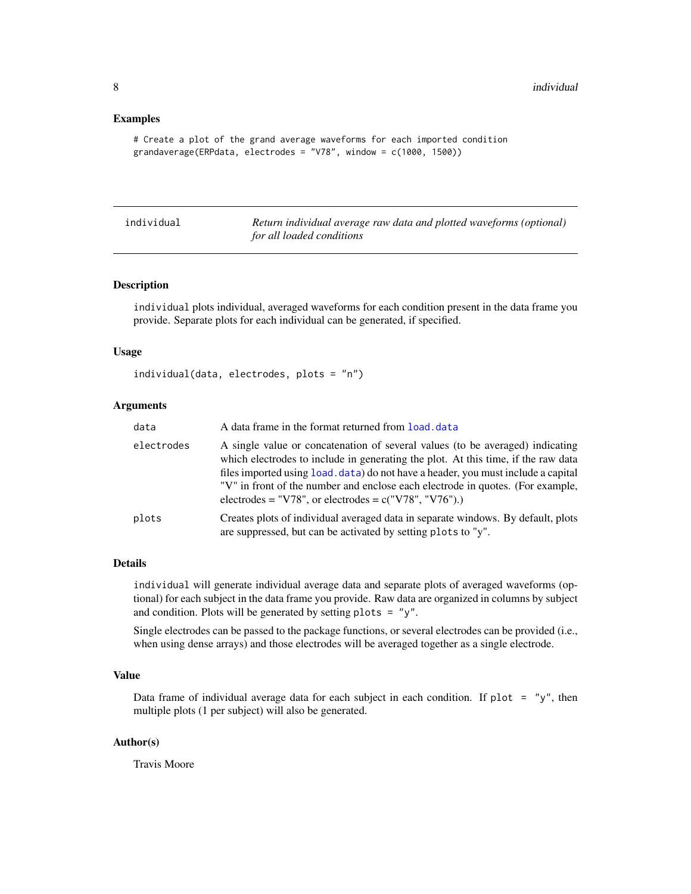#### <span id="page-7-0"></span>Examples

```
# Create a plot of the grand average waveforms for each imported condition
grandaverage(ERPdata, electrodes = "V78", window = c(1000, 1500))
```
<span id="page-7-1"></span>

| individual | Return individual average raw data and plotted waveforms (optional) |
|------------|---------------------------------------------------------------------|
|            | for all loaded conditions                                           |

#### Description

individual plots individual, averaged waveforms for each condition present in the data frame you provide. Separate plots for each individual can be generated, if specified.

#### Usage

```
individual(data, electrodes, plots = "n")
```
#### Arguments

| data       | A data frame in the format returned from load, data                                                                                                                                                                                                                                                                                                                                                 |
|------------|-----------------------------------------------------------------------------------------------------------------------------------------------------------------------------------------------------------------------------------------------------------------------------------------------------------------------------------------------------------------------------------------------------|
| electrodes | A single value or concatenation of several values (to be averaged) indicating<br>which electrodes to include in generating the plot. At this time, if the raw data<br>files imported using load, data) do not have a header, you must include a capital<br>"V" in front of the number and enclose each electrode in quotes. (For example,<br>electrodes = "V78", or electrodes = $c("V78", "V76").$ |
| plots      | Creates plots of individual averaged data in separate windows. By default, plots<br>are suppressed, but can be activated by setting plots to "y".                                                                                                                                                                                                                                                   |

#### Details

individual will generate individual average data and separate plots of averaged waveforms (optional) for each subject in the data frame you provide. Raw data are organized in columns by subject and condition. Plots will be generated by setting plots  $=$  "y".

Single electrodes can be passed to the package functions, or several electrodes can be provided (i.e., when using dense arrays) and those electrodes will be averaged together as a single electrode.

# Value

Data frame of individual average data for each subject in each condition. If plot = "y", then multiple plots (1 per subject) will also be generated.

### Author(s)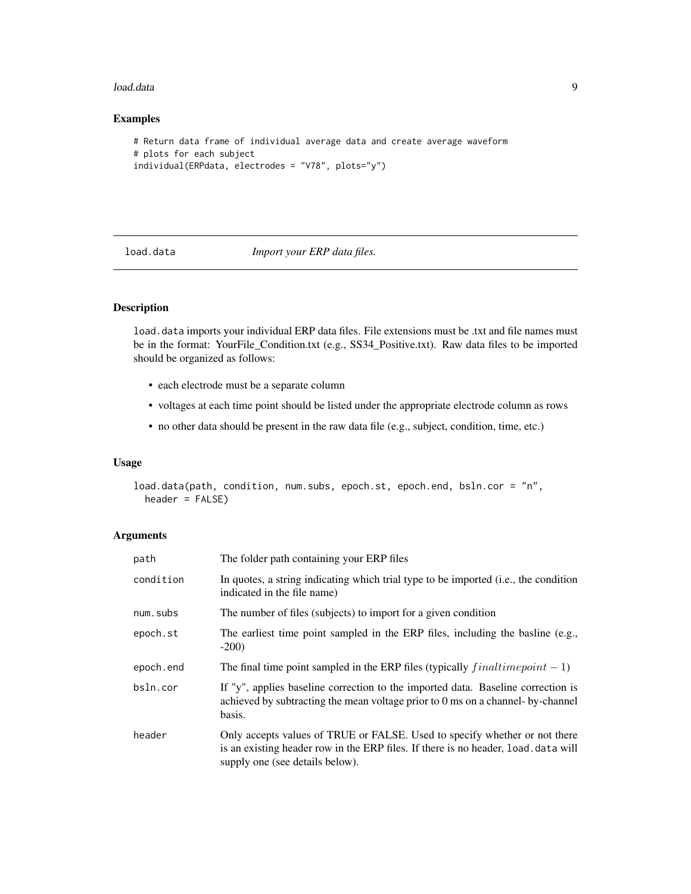#### <span id="page-8-0"></span>load.data 9

# Examples

```
# Return data frame of individual average data and create average waveform
# plots for each subject
individual(ERPdata, electrodes = "V78", plots="y")
```
<span id="page-8-1"></span>load.data *Import your ERP data files.*

# Description

load.data imports your individual ERP data files. File extensions must be .txt and file names must be in the format: YourFile\_Condition.txt (e.g., SS34\_Positive.txt). Raw data files to be imported should be organized as follows:

- each electrode must be a separate column
- voltages at each time point should be listed under the appropriate electrode column as rows
- no other data should be present in the raw data file (e.g., subject, condition, time, etc.)

### Usage

```
load.data(path, condition, num.subs, epoch.st, epoch.end, bsln.cor = "n",
  header = FALSE)
```
#### Arguments

| path      | The folder path containing your ERP files                                                                                                                                                          |
|-----------|----------------------------------------------------------------------------------------------------------------------------------------------------------------------------------------------------|
| condition | In quotes, a string indicating which trial type to be imported (i.e., the condition<br>indicated in the file name)                                                                                 |
| num.subs  | The number of files (subjects) to import for a given condition                                                                                                                                     |
| epoch.st  | The earliest time point sampled in the ERP files, including the basilne (e.g.,<br>$-200$                                                                                                           |
| epoch.end | The final time point sampled in the ERP files (typically $finaltime point - 1$ )                                                                                                                   |
| bsln.cor  | If "y", applies baseline correction to the imported data. Baseline correction is<br>achieved by subtracting the mean voltage prior to 0 ms on a channel- by-channel<br>basis.                      |
| header    | Only accepts values of TRUE or FALSE. Used to specify whether or not there<br>is an existing header row in the ERP files. If there is no header, load.data will<br>supply one (see details below). |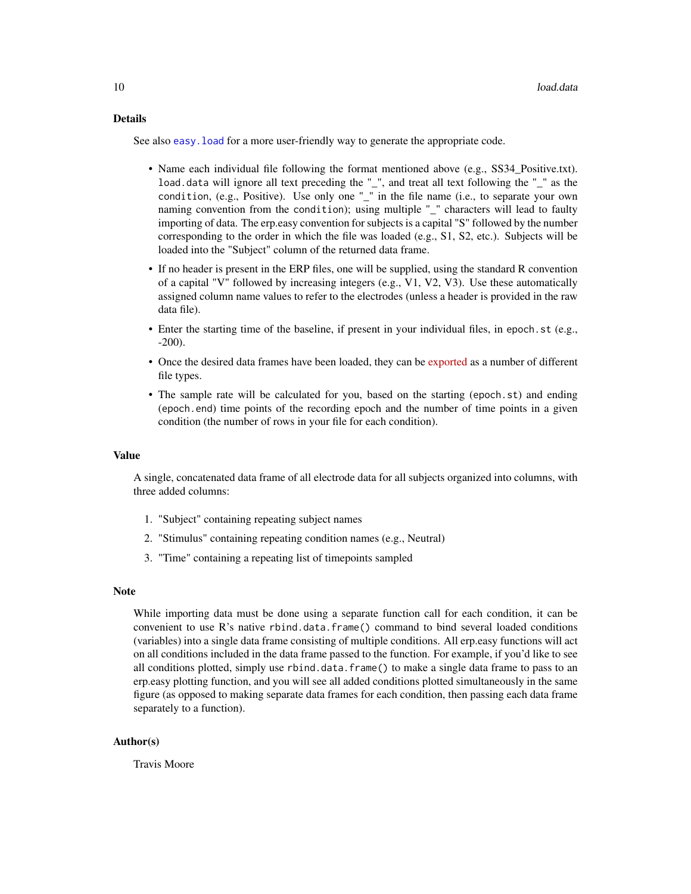#### <span id="page-9-0"></span>Details

See also easy. load for a more user-friendly way to generate the appropriate code.

- Name each individual file following the format mentioned above (e.g., SS34 Positive.txt). load.data will ignore all text preceding the "\_", and treat all text following the "\_" as the condition, (e.g., Positive). Use only one "\_" in the file name (i.e., to separate your own naming convention from the condition); using multiple "\_" characters will lead to faulty importing of data. The erp.easy convention for subjects is a capital "S" followed by the number corresponding to the order in which the file was loaded (e.g., S1, S2, etc.). Subjects will be loaded into the "Subject" column of the returned data frame.
- If no header is present in the ERP files, one will be supplied, using the standard R convention of a capital "V" followed by increasing integers (e.g., V1, V2, V3). Use these automatically assigned column name values to refer to the electrodes (unless a header is provided in the raw data file).
- Enter the starting time of the baseline, if present in your individual files, in epoch.st (e.g., -200).
- Once the desired data frames have been loaded, they can be [exported](http://www.statmethods.net/input/exportingdata.html) as a number of different file types.
- The sample rate will be calculated for you, based on the starting (epoch.st) and ending (epoch.end) time points of the recording epoch and the number of time points in a given condition (the number of rows in your file for each condition).

#### Value

A single, concatenated data frame of all electrode data for all subjects organized into columns, with three added columns:

- 1. "Subject" containing repeating subject names
- 2. "Stimulus" containing repeating condition names (e.g., Neutral)
- 3. "Time" containing a repeating list of timepoints sampled

#### Note

While importing data must be done using a separate function call for each condition, it can be convenient to use R's native rbind.data.frame() command to bind several loaded conditions (variables) into a single data frame consisting of multiple conditions. All erp.easy functions will act on all conditions included in the data frame passed to the function. For example, if you'd like to see all conditions plotted, simply use rbind.data.frame() to make a single data frame to pass to an erp.easy plotting function, and you will see all added conditions plotted simultaneously in the same figure (as opposed to making separate data frames for each condition, then passing each data frame separately to a function).

#### Author(s)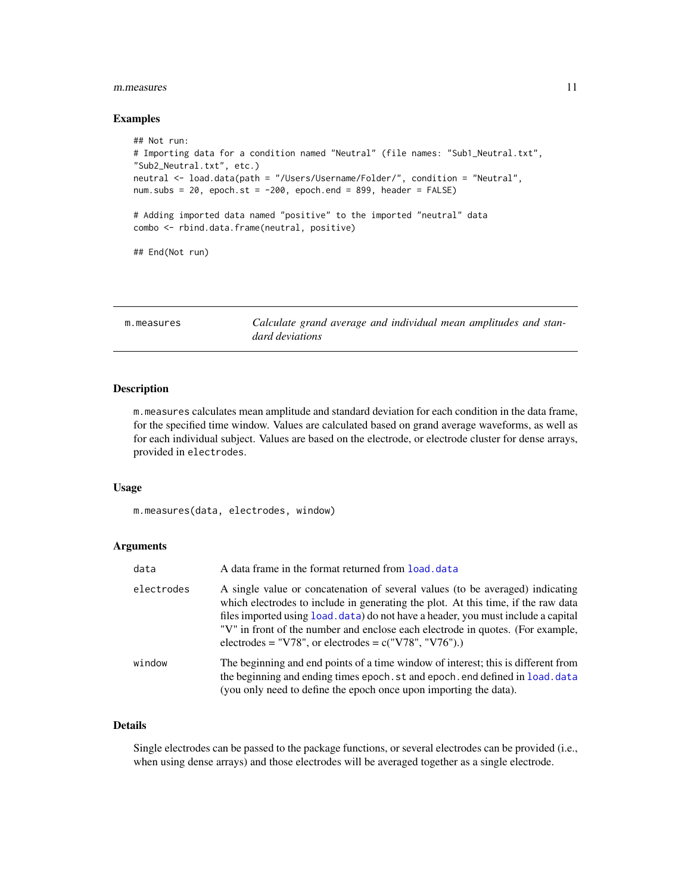#### <span id="page-10-0"></span>m.measures 11

#### Examples

```
## Not run:
# Importing data for a condition named "Neutral" (file names: "Sub1_Neutral.txt",
"Sub2_Neutral.txt", etc.)
neutral <- load.data(path = "/Users/Username/Folder/", condition = "Neutral",
num.subs = 20, epoch.st = -200, epoch.end = 899, header = FALSE)
# Adding imported data named "positive" to the imported "neutral" data
combo <- rbind.data.frame(neutral, positive)
## End(Not run)
```
<span id="page-10-1"></span>m.measures *Calculate grand average and individual mean amplitudes and standard deviations*

# Description

m.measures calculates mean amplitude and standard deviation for each condition in the data frame, for the specified time window. Values are calculated based on grand average waveforms, as well as for each individual subject. Values are based on the electrode, or electrode cluster for dense arrays, provided in electrodes.

# Usage

m.measures(data, electrodes, window)

# Arguments

| data       | A data frame in the format returned from load, data                                                                                                                                                                                                                                                                                                                                                 |
|------------|-----------------------------------------------------------------------------------------------------------------------------------------------------------------------------------------------------------------------------------------------------------------------------------------------------------------------------------------------------------------------------------------------------|
| electrodes | A single value or concatenation of several values (to be averaged) indicating<br>which electrodes to include in generating the plot. At this time, if the raw data<br>files imported using load, data) do not have a header, you must include a capital<br>"V" in front of the number and enclose each electrode in quotes. (For example,<br>electrodes = "V78", or electrodes = $c("V78", "V76").$ |
| window     | The beginning and end points of a time window of interest; this is different from<br>the beginning and ending times epoch, st and epoch, end defined in load, data<br>(you only need to define the epoch once upon importing the data).                                                                                                                                                             |

# Details

Single electrodes can be passed to the package functions, or several electrodes can be provided (i.e., when using dense arrays) and those electrodes will be averaged together as a single electrode.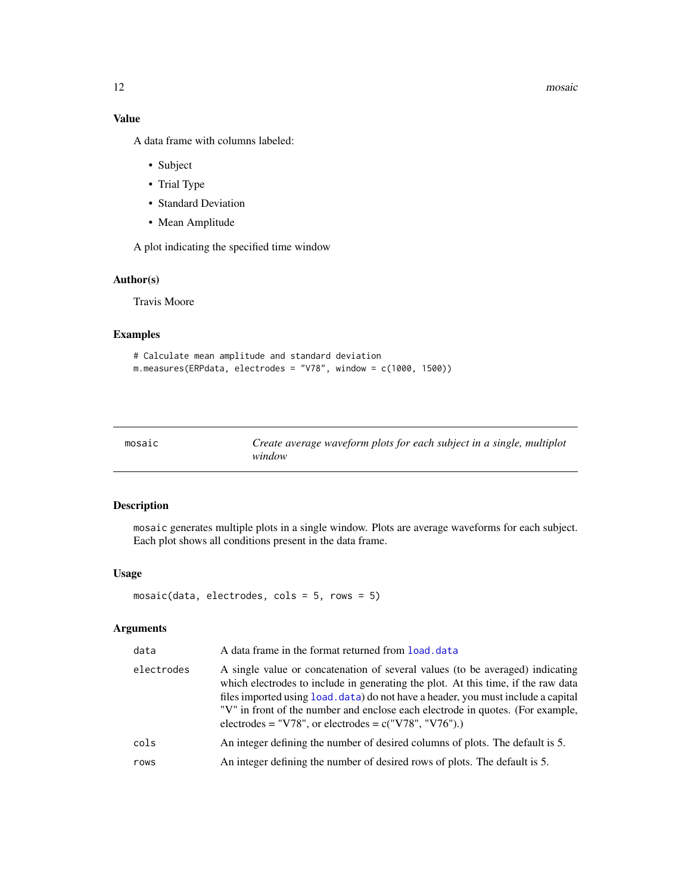12 mosaic mosaic mosaic mosaic mosaic mosaic mosaic mosaic mosaic mosaic mosaic mosaic mosaic mosaic mosaic mosaic mosaic mosaic mosaic mosaic mosaic mosaic mosaic mosaic mosaic mosaic mosaic mosaic mosaic mosaic mosaic mo

# Value

A data frame with columns labeled:

- Subject
- Trial Type
- Standard Deviation
- Mean Amplitude

A plot indicating the specified time window

# Author(s)

Travis Moore

# Examples

```
# Calculate mean amplitude and standard deviation
m.measures(ERPdata, electrodes = "V78", window = c(1000, 1500))
```
<span id="page-11-1"></span>

| mosaic | Create average waveform plots for each subject in a single, multiplot |
|--------|-----------------------------------------------------------------------|
|        | window                                                                |

# Description

mosaic generates multiple plots in a single window. Plots are average waveforms for each subject. Each plot shows all conditions present in the data frame.

# Usage

```
mosaic(data, electrodes, cols = 5, rows = 5)
```
# Arguments

| data       | A data frame in the format returned from load, data                                                                                                                                                                                                                                                                                                                                                 |
|------------|-----------------------------------------------------------------------------------------------------------------------------------------------------------------------------------------------------------------------------------------------------------------------------------------------------------------------------------------------------------------------------------------------------|
| electrodes | A single value or concatenation of several values (to be averaged) indicating<br>which electrodes to include in generating the plot. At this time, if the raw data<br>files imported using load. data) do not have a header, you must include a capital<br>"V" in front of the number and enclose each electrode in quotes. (For example,<br>electrodes = "V78", or electrodes = $c("V78", "V76").$ |
| cols       | An integer defining the number of desired columns of plots. The default is 5.                                                                                                                                                                                                                                                                                                                       |
| rows       | An integer defining the number of desired rows of plots. The default is 5.                                                                                                                                                                                                                                                                                                                          |

<span id="page-11-0"></span>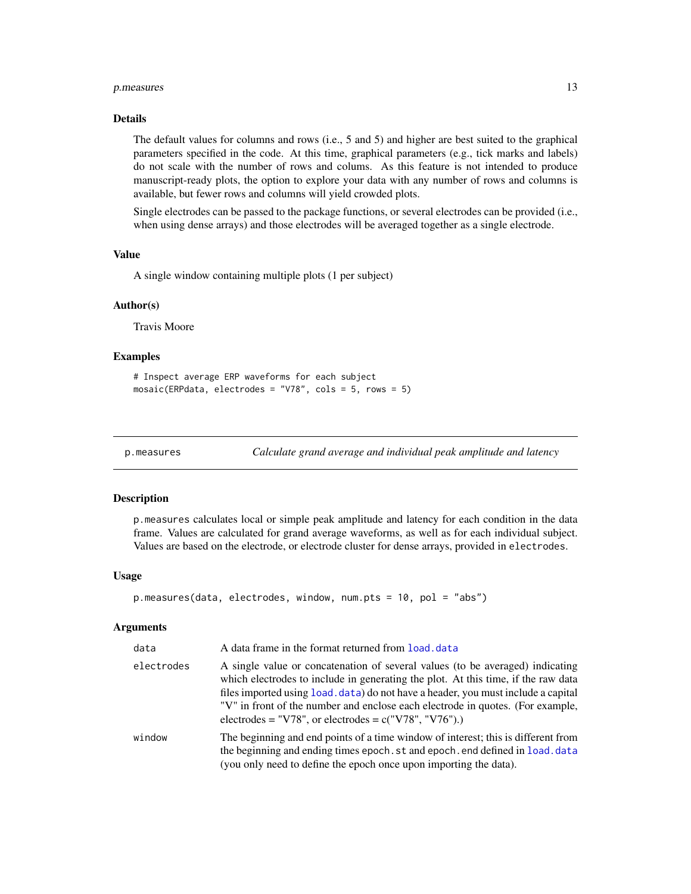# <span id="page-12-0"></span>p.measures 13

#### Details

The default values for columns and rows (i.e., 5 and 5) and higher are best suited to the graphical parameters specified in the code. At this time, graphical parameters (e.g., tick marks and labels) do not scale with the number of rows and colums. As this feature is not intended to produce manuscript-ready plots, the option to explore your data with any number of rows and columns is available, but fewer rows and columns will yield crowded plots.

Single electrodes can be passed to the package functions, or several electrodes can be provided (i.e., when using dense arrays) and those electrodes will be averaged together as a single electrode.

# Value

A single window containing multiple plots (1 per subject)

#### Author(s)

Travis Moore

#### Examples

```
# Inspect average ERP waveforms for each subject
mosaic(ERPdata, electrodes = "V78", cols = 5, rows = 5)
```
<span id="page-12-1"></span>p.measures *Calculate grand average and individual peak amplitude and latency*

#### Description

p.measures calculates local or simple peak amplitude and latency for each condition in the data frame. Values are calculated for grand average waveforms, as well as for each individual subject. Values are based on the electrode, or electrode cluster for dense arrays, provided in electrodes.

#### Usage

```
p.measures(data, electrodes, window, num.pts = 10, pol = "abs")
```
#### Arguments

| data       | A data frame in the format returned from load, data                                                                                                                                                                                                                                                                                                                                                 |
|------------|-----------------------------------------------------------------------------------------------------------------------------------------------------------------------------------------------------------------------------------------------------------------------------------------------------------------------------------------------------------------------------------------------------|
| electrodes | A single value or concatenation of several values (to be averaged) indicating<br>which electrodes to include in generating the plot. At this time, if the raw data<br>files imported using load. data) do not have a header, you must include a capital<br>"V" in front of the number and enclose each electrode in quotes. (For example,<br>electrodes = "V78", or electrodes = $c("V78", "V76").$ |
| window     | The beginning and end points of a time window of interest; this is different from<br>the beginning and ending times epoch. st and epoch. end defined in load. data<br>(you only need to define the epoch once upon importing the data).                                                                                                                                                             |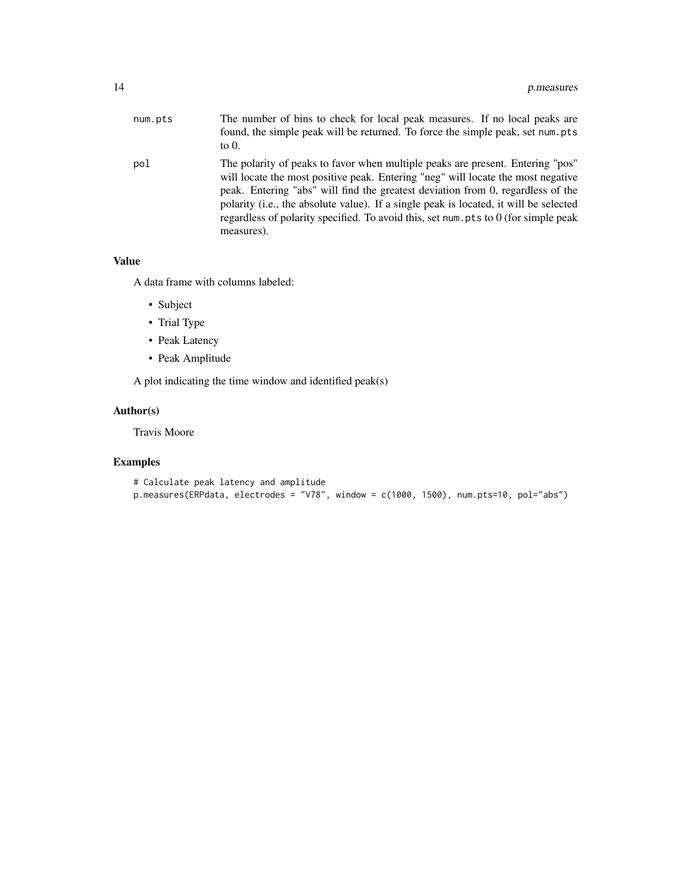| num.pts | The number of bins to check for local peak measures. If no local peaks are<br>found, the simple peak will be returned. To force the simple peak, set num, pts<br>to $0$ .                                                                                                                                                                                                                                                                           |
|---------|-----------------------------------------------------------------------------------------------------------------------------------------------------------------------------------------------------------------------------------------------------------------------------------------------------------------------------------------------------------------------------------------------------------------------------------------------------|
| pol     | The polarity of peaks to favor when multiple peaks are present. Entering "pos"<br>will locate the most positive peak. Entering "neg" will locate the most negative<br>peak. Entering "abs" will find the greatest deviation from 0, regardless of the<br>polarity (i.e., the absolute value). If a single peak is located, it will be selected<br>regardless of polarity specified. To avoid this, set num. pts to 0 (for simple peak<br>measures). |

# Value

A data frame with columns labeled:

- Subject
- Trial Type
- Peak Latency
- Peak Amplitude

A plot indicating the time window and identified peak(s)

# Author(s)

Travis Moore

# Examples

```
# Calculate peak latency and amplitude
```

```
p.measures(ERPdata, electrodes = "V78", window = c(1000, 1500), num.pts=10, pol="abs")
```